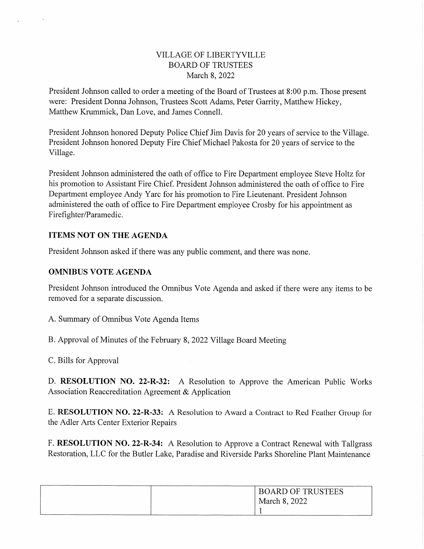## VILLAGE OF LIBERTYVILLE BOARD OF TRUSTEES March 8, 2022

President Johnson called to order a meeting of the Board of Trustees at 8:00 p.m. Those present were: President Donna Johnson, Trustees Scott Adams, Peter Garrity, Matthew Hickey, Matthew Krummick, Dan Love, and James Connell.

President Johnson honored Deputy Police Chief Jim Davis for 20 years of service to the Village. President Johnson honored Deputy Fire Chief Michael Pakosta for 20 years of service to the Village.

President Johnson administered the oath of office to Fire Department employee Steve Holtz for his promotion to Assistant Fire Chief. President Johnson administered the oath of office to Fire Department employee Andy Yarc for his promotion to Fire Lieutenant. President Johnson administered the oath of office to Fire Department employee Crosby for his appointment as Firefighter/Paramedic.

# ITEMS NOT ON THE AGENDA

President Johnson asked if there was any public comment, and there was none.

## OMNIBUS VOTE AGENDA

President Johnson introduced the Omnibus Vote Agenda and asked if there were any items to be removed for a separate discussion.

A. Summary of Omnibus Vote Agenda Items

B. Approval of Minutes of the February 8, 2022 Village Board Meeting

C. Bills for Approval

D. RESOLUTION NO. 22-R-32: A Resolution to Approve the American Public Works Association Reaccreditation Agreement & Application

E. RESOLUTION NO. 22-R-33: A Resolution to Award a Contract to Red Feather Group for the Adler Arts Center Exterior Repairs

F. RESOLUTION NO. 22-R-34: A Resolution to Approve a Contract Renewal with Tallgrass Restoration, LLC for the Butler Lake, Paradise and Riverside Parks Shoreline Plant Maintenance

| <b>BOARD OF TRUSTEES</b> |
|--------------------------|
| March 8, 2022            |
|                          |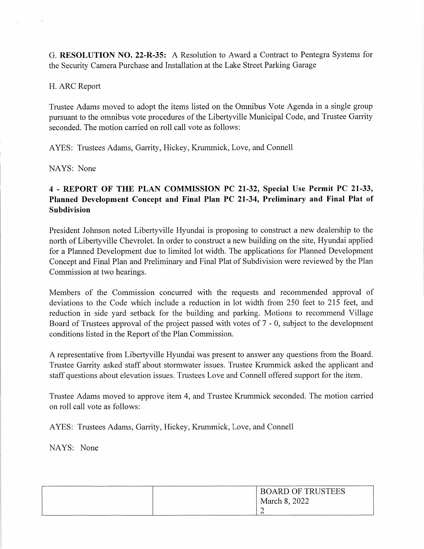G. RESOLUTION NO. 22-R-35: A Resolution to Award a Contract to Pentegra Systems for the Security Camera Purchase and Installation at the Lake Street Parking Garage

# H. ARC Report

Trustee Adams moved to adopt the items listed on the Omnibus Vote Agenda in a single group pursuant to the omnibus vote procedures of the Libertyville Municipal Code, and Trustee Garrity seconded. The motion carried on roll call vote as follows:

AYES: Trustees Adams, Garrity, Hickey, Krummick, Love, and Connell

NAYS: None

# 4 - REPORT OF THE PLAN COMMISSION PC 21-32, Special Use Permit PC 21-33, Planned Development Concept and Final Plan PC 21-34, Preliminary and Final Plat of Subdivision

President Johnson noted Libertyville Hyundai is proposing to construct a new dealership to the north of Libertyville Chevrolet. In order to construct a new building on the site, Hyundai applied for a Planned Development due to limited lot width. The applications for Planned Development Concept and Final Plan and Preliminary and Final Plat of Subdivision were reviewed by the Plan Commission at two hearings.

Members of the Commission concurred with the requests and recommended approval of deviations to the Code which include a reduction in lot width from 250 feet to 215 feet, and reduction in side yard setback for the building and parking. Motions to recommend Village Board of Trustees approval of the project passed with votes of 7 - 0, subject to the development conditions listed in the Report of the Plan Commission.

A representative from Liberty ville Hyundai was present to answer any questions from the Board. Trustee Garrity asked staff about stormwater issues. Trustee Krummick asked the applicant and staff questions about elevation issues. Trustees Love and Connell offered support for the item.

Trustee Adams moved to approve item 4, and Trustee Krummick seconded. The motion carried on roll call vote as follows:

AYES: Trustees Adams, Garrity, Hickey, Krummick, Love, and Connell

NAYS: None

| <b>BOARD OF TRUSTEES</b> |
|--------------------------|
| March 8, 2022            |
| $\sqrt{2}$               |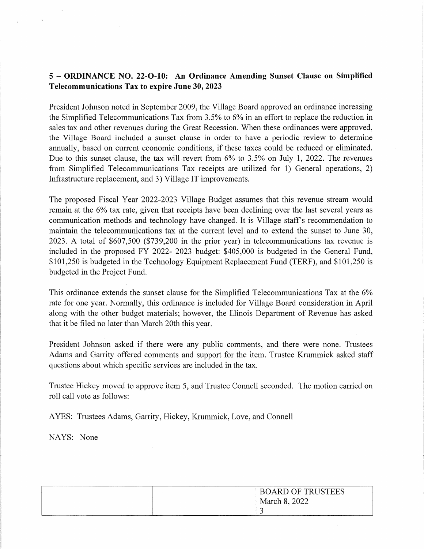# 5 - ORDINANCE NO. 22-0-10: An Ordinance Amending Sunset Clause on Simplified Telecommunications Tax to expire June 30,2023

President Johnson noted in September 2009, the Village Board approved an ordinance increasing the Simplified Telecommunications Tax from 3.5% to 6% in an effort to replace the reduction in sales tax and other revenues during the Great Recession. When these ordinances were approved, the Village Board included a sunset clause in order to have a periodic review to determine annually, based on current economic conditions, if these taxes could be reduced or eliminated. Due to this sunset clause, the tax will revert from 6% to 3.5% on July 1, 2022. The revenues from Simplified Telecommunications Tax receipts are utilized for 1) General operations, 2) Infrastructure replacement, and 3) Village IT improvements.

The proposed Fiscal Year 2022-2023 Village Budget assumes that this revenue stream would remain at the 6% tax rate, given that receipts have been declining over the last several years as communication methods and technology have changed. It is Village staff's recommendation to maintain the telecommunications tax at the current level and to extend the sunset to June 30, 2023. A total of \$607,500 (\$739,200 in the prior year) in telecommunications tax revenue is included in the proposed FY 2022- 2023 budget: \$405,000 is budgeted in the General Fund, \$101,250 is budgeted in the Technology Equipment Replacement Fund (TERF), and \$101,250 is budgeted in the Project Fund.

This ordinance extends the sunset clause for the Simplified Telecommunications Tax at the 6% rate for one year. Normally, this ordinance is included for Village Board consideration in April along with the other budget materials; however, the Illinois Department of Revenue has asked that it be filed no later than March 20th this year.

President Johnson asked if there were any public comments, and there were none. Trustees Adams and Garrity offered comments and support for the item. Trustee Krummick asked staff questions about which specific services are included in the tax.

Trustee Hickey moved to approve item 5, and Trustee Connell seconded. The motion carried on roll call vote as follows:

AYES: Trustees Adams, Garrity, Hickey, Krummick, Love, and Connell

NAYS: None

| <b>BOARD OF TRUSTEES</b> |
|--------------------------|
| March 8, 2022            |
|                          |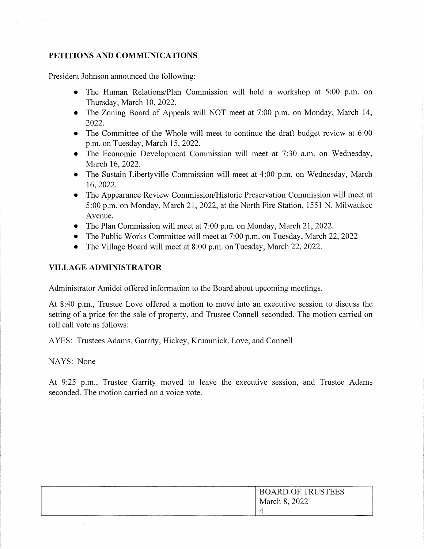### PETITIONS AND COMMUNICATIONS

President Johnson announced the following:

- The Human Relations/Plan Commission will hold a workshop at 5:00 p.m. on Thursday, March 10, 2022.
- The Zoning Board of Appeals will NOT meet at 7:00 p.m. on Monday, March 14, 2022.
- The Committee of the Whole will meet to continue the draft budget review at 6:00 p.m. on Tuesday, March 15, 2022.
- The Economic Development Commission will meet at 7:30 a.m. on Wednesday, March 16, 2022.
- The Sustain Libertyville Commission will meet at 4:00 p.m. on Wednesday, March 16,2022.
- The Appearance Review Commission/Historic Preservation Commission will meet at 5:00 p.m. on Monday, March 21, 2022, at the North Fire Station, 1551 N. Milwaukee Avenue.
- The Plan Commission will meet at 7:00 p.m. on Monday, March 21, 2022.
- The Public Works Committee will meet at 7:00 p.m. on Tuesday, March 22, 2022
- The Village Board will meet at 8:00 p.m. on Tuesday, March 22, 2022.

## VILLAGE ADMINISTRATOR

Administrator Amidei offered information to the Board about upcoming meetings.

At 8:40 p.m., Trustee Love offered a motion to move into an executive session to discuss the setting of a price for the sale of property, and Trustee Connell seconded. The motion carried on roll call vote as follows:

AYES: Trustees Adams, Garrity, Hickey, Krummick, Love, and Connell

NAYS: None

At 9:25 p.m., Trustee Garrity moved to leave the executive session, and Trustee Adams seconded. The motion carried on a voice vote.

| <b>BOARD OF TRUSTEES</b> |
|--------------------------|
| March 8, 2022            |
|                          |